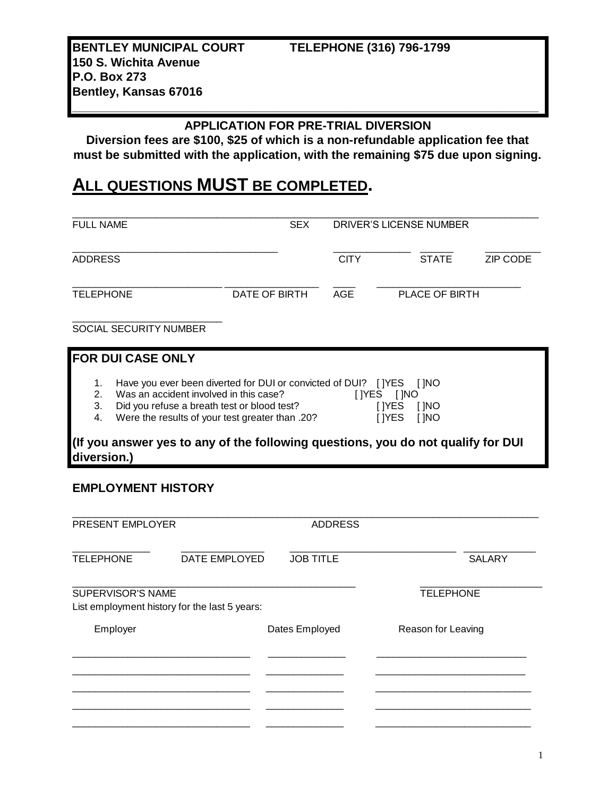**BENTLEY MUNICIPAL COURT TELEPHONE (316) 796-1799 150 S. Wichita Avenue P.O. Box 273**

# **\_\_\_\_\_\_\_\_\_\_\_\_\_\_\_\_\_\_\_\_\_\_\_\_\_\_\_\_\_\_\_\_\_\_\_\_\_\_\_\_\_\_\_\_\_\_\_\_\_\_\_\_\_\_\_\_\_\_\_\_\_\_\_\_\_\_\_\_\_ APPLICATION FOR PRE-TRIAL DIVERSION**

**Diversion fees are \$100, \$25 of which is a non-refundable application fee that must be submitted with the application, with the remaining \$75 due upon signing.**

# **ALL QUESTIONS MUST BE COMPLETED.**

| <b>FULL NAME</b>                                |                                                                                                                                                                                                                                                                                          | <b>SEX</b>    | DRIVER'S LICENSE NUMBER |                                                                             |                 |
|-------------------------------------------------|------------------------------------------------------------------------------------------------------------------------------------------------------------------------------------------------------------------------------------------------------------------------------------------|---------------|-------------------------|-----------------------------------------------------------------------------|-----------------|
| <b>ADDRESS</b>                                  |                                                                                                                                                                                                                                                                                          |               | <b>CITY</b>             | <b>STATE</b>                                                                | <b>ZIP CODE</b> |
| <b>TELEPHONE</b>                                |                                                                                                                                                                                                                                                                                          | DATE OF BIRTH | <b>AGE</b>              | PLACE OF BIRTH                                                              |                 |
|                                                 | <b>SOCIAL SECURITY NUMBER</b>                                                                                                                                                                                                                                                            |               |                         |                                                                             |                 |
|                                                 | <b>FOR DUI CASE ONLY</b>                                                                                                                                                                                                                                                                 |               |                         |                                                                             |                 |
| 1.<br>2 <sub>1</sub><br>3.<br>4.<br>diversion.) | Have you ever been diverted for DUI or convicted of DUI?<br>Was an accident involved in this case?<br>Did you refuse a breath test or blood test?<br>Were the results of your test greater than .20?<br>(If you answer yes to any of the following questions, you do not qualify for DUI |               |                         | <b>TIYES</b><br>[ INO<br>[ ]YES [ ]NO<br>I IYES<br>[ INO<br>I IYES<br>[ INO |                 |

## **EMPLOYMENT HISTORY**

**Bentley, Kansas 67016**

| PRESENT EMPLOYER         |                                               | <b>ADDRESS</b>   |                    |  |
|--------------------------|-----------------------------------------------|------------------|--------------------|--|
| <b>TELEPHONE</b>         | DATE EMPLOYED                                 | <b>JOB TITLE</b> | <b>SALARY</b>      |  |
| <b>SUPERVISOR'S NAME</b> | List employment history for the last 5 years: |                  | <b>TELEPHONE</b>   |  |
| Employer                 |                                               | Dates Employed   | Reason for Leaving |  |
|                          |                                               |                  |                    |  |
|                          |                                               |                  |                    |  |
|                          |                                               |                  |                    |  |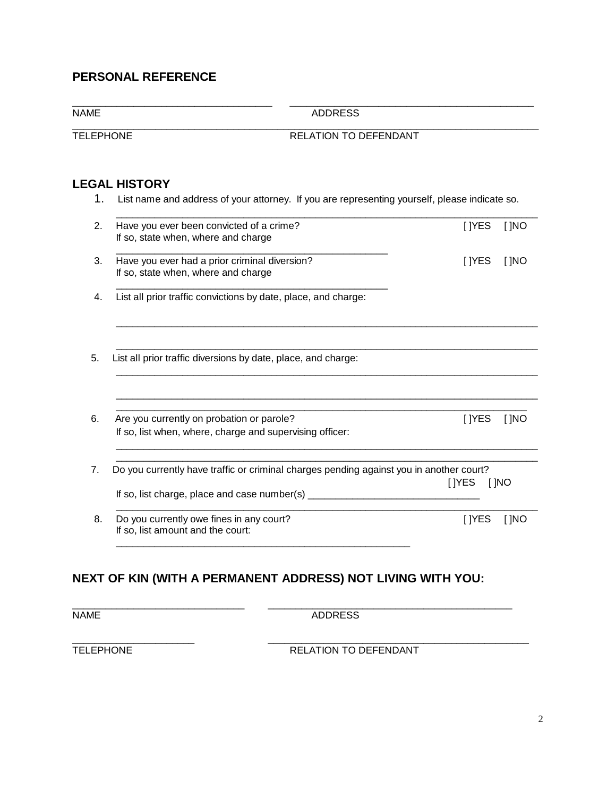## **PERSONAL REFERENCE**

\_\_\_\_\_\_\_\_\_\_\_\_\_\_\_\_\_\_\_\_\_\_\_\_\_\_\_\_\_\_\_\_\_\_\_\_ \_\_\_\_\_\_\_\_\_\_\_\_\_\_\_\_\_\_\_\_\_\_\_\_\_\_\_\_\_\_\_\_\_\_\_\_\_\_\_\_\_\_\_\_

NAME ADDRESS

#### TELEPHONE RELATION TO DEFENDANT

#### **LEGAL HISTORY**

1. List name and address of your attorney. If you are representing yourself, please indicate so.

\_\_\_\_\_\_\_\_\_\_\_\_\_\_\_\_\_\_\_\_\_\_\_\_\_\_\_\_\_\_\_\_\_\_\_\_\_\_\_\_\_\_\_\_\_\_\_\_\_\_\_\_\_\_\_\_\_\_\_\_\_\_\_\_\_\_\_\_\_\_\_\_\_\_\_\_\_\_\_\_\_\_\_\_

| Have you ever been convicted of a crime?<br>If so, state when, where and charge         | [ ]YES          | [ ]NO |
|-----------------------------------------------------------------------------------------|-----------------|-------|
| Have you ever had a prior criminal diversion?<br>If so, state when, where and charge    | [ ]YES          | [ ]NO |
| List all prior traffic convictions by date, place, and charge:                          |                 |       |
| List all prior traffic diversions by date, place, and charge:                           |                 |       |
|                                                                                         |                 |       |
| Are you currently on probation or parole?                                               | [ ]YES          | [ ]NO |
| If so, list when, where, charge and supervising officer:                                |                 |       |
| Do you currently have traffic or criminal charges pending against you in another court? |                 |       |
| If so, list charge, place and case number(s) ________                                   | [ IYES<br>[ ]NO |       |
| Do you currently owe fines in any court?                                                | <b>I</b> IYES   | [ ]NO |

## **NEXT OF KIN (WITH A PERMANENT ADDRESS) NOT LIVING WITH YOU:**

\_\_\_\_\_\_\_\_\_\_\_\_\_\_\_\_\_\_\_\_\_\_\_\_\_\_\_\_\_\_\_\_\_\_\_\_\_\_\_\_\_\_\_\_\_\_\_\_\_\_\_\_\_

\_\_\_\_\_\_\_\_\_\_\_\_\_\_\_\_\_\_\_\_\_\_\_\_\_\_\_\_\_\_\_ \_\_\_\_\_\_\_\_\_\_\_\_\_\_\_\_\_\_\_\_\_\_\_\_\_\_\_\_\_\_\_\_\_\_\_\_\_\_\_\_\_\_\_\_ NAME ADDRESS

\_\_\_\_\_\_\_\_\_\_\_\_\_\_\_\_\_\_\_\_\_\_ \_\_\_\_\_\_\_\_\_\_\_\_\_\_\_\_\_\_\_\_\_\_\_\_\_\_\_\_\_\_\_\_\_\_\_\_\_\_\_\_\_\_\_\_\_\_\_ TELEPHONE RELATION TO DEFENDANT